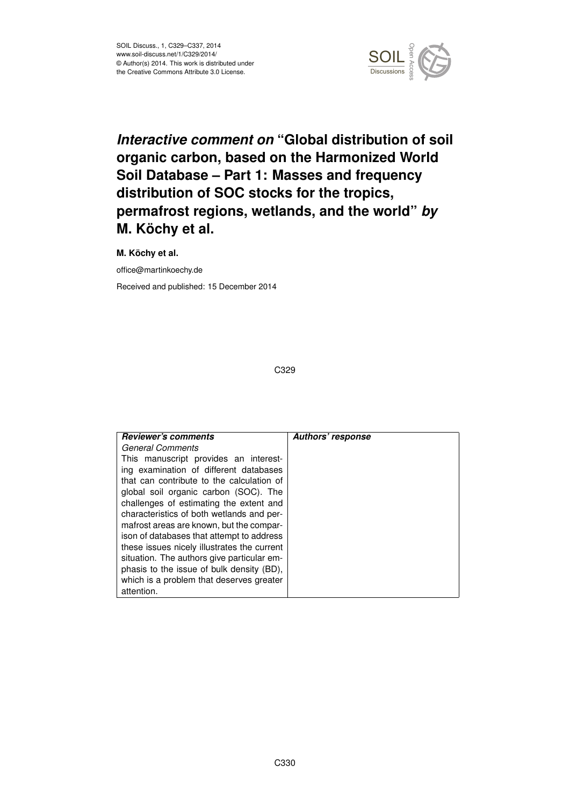

# *Interactive comment on* **"Global distribution of soil organic carbon, based on the Harmonized World Soil Database – Part 1: Masses and frequency distribution of SOC stocks for the tropics, permafrost regions, wetlands, and the world"** *by* **M. Köchy et al.**

**M. Köchy et al.**

office@martinkoechy.de

Received and published: 15 December 2014

| <b>Reviewer's comments</b>                  | Authors' response |
|---------------------------------------------|-------------------|
| <b>General Comments</b>                     |                   |
| This manuscript provides an interest-       |                   |
| ing examination of different databases      |                   |
| that can contribute to the calculation of   |                   |
| global soil organic carbon (SOC). The       |                   |
| challenges of estimating the extent and     |                   |
| characteristics of both wetlands and per-   |                   |
| mafrost areas are known, but the compar-    |                   |
| ison of databases that attempt to address   |                   |
| these issues nicely illustrates the current |                   |
| situation. The authors give particular em-  |                   |
| phasis to the issue of bulk density (BD),   |                   |
| which is a problem that deserves greater    |                   |
| attention.                                  |                   |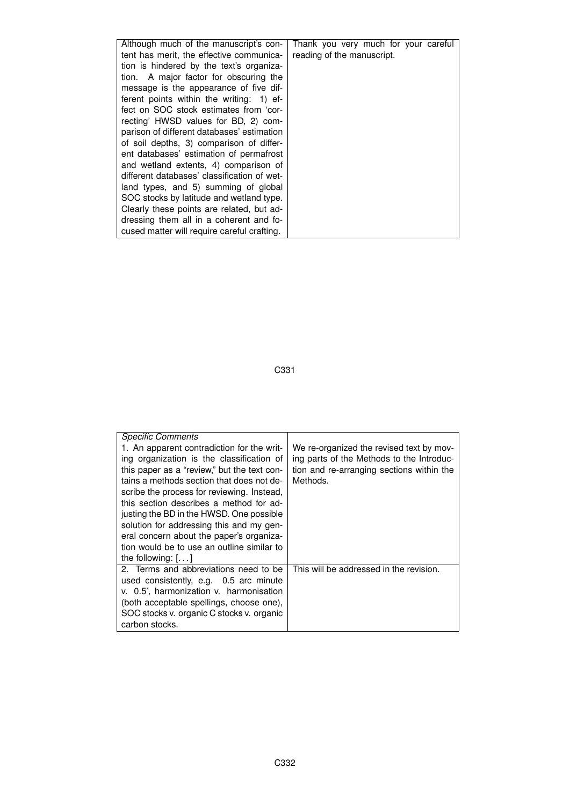| Although much of the manuscript's con-      | Thank you very much for your careful |
|---------------------------------------------|--------------------------------------|
| tent has merit, the effective communica-    | reading of the manuscript.           |
| tion is hindered by the text's organiza-    |                                      |
| tion. A major factor for obscuring the      |                                      |
| message is the appearance of five dif-      |                                      |
| ferent points within the writing: 1) ef-    |                                      |
| fect on SOC stock estimates from 'cor-      |                                      |
| recting' HWSD values for BD, 2) com-        |                                      |
| parison of different databases' estimation  |                                      |
| of soil depths, 3) comparison of differ-    |                                      |
| ent databases' estimation of permafrost     |                                      |
| and wetland extents, 4) comparison of       |                                      |
| different databases' classification of wet- |                                      |
| land types, and 5) summing of global        |                                      |
| SOC stocks by latitude and wetland type.    |                                      |
| Clearly these points are related, but ad-   |                                      |
| dressing them all in a coherent and fo-     |                                      |
| cused matter will require careful crafting. |                                      |
|                                             |                                      |

| <b>Specific Comments</b>                    |                                           |
|---------------------------------------------|-------------------------------------------|
| 1. An apparent contradiction for the writ-  | We re-organized the revised text by mov-  |
| ing organization is the classification of   | ing parts of the Methods to the Introduc- |
| this paper as a "review," but the text con- | tion and re-arranging sections within the |
| tains a methods section that does not de-   | Methods.                                  |
| scribe the process for reviewing. Instead,  |                                           |
| this section describes a method for ad-     |                                           |
| justing the BD in the HWSD. One possible    |                                           |
| solution for addressing this and my gen-    |                                           |
| eral concern about the paper's organiza-    |                                           |
| tion would be to use an outline similar to  |                                           |
| the following: $[]$                         |                                           |
| 2. Terms and abbreviations need to be       | This will be addressed in the revision.   |
| used consistently, e.g. 0.5 arc minute      |                                           |
| v. 0.5', harmonization v. harmonisation     |                                           |
| (both acceptable spellings, choose one),    |                                           |
| SOC stocks v. organic C stocks v. organic   |                                           |
| carbon stocks.                              |                                           |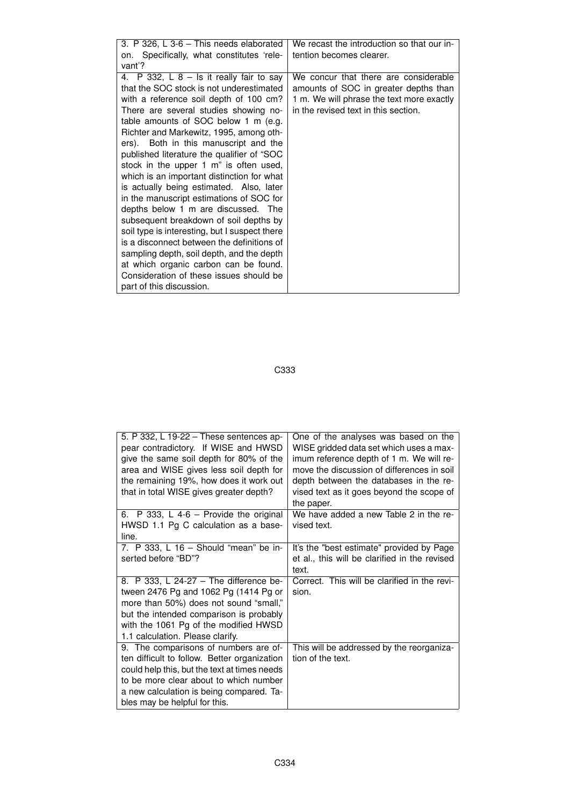| 5. P 332, L 19-22 – These sentences ap-<br>pear contradictory. If WISE and HWSD<br>give the same soil depth for 80% of the<br>area and WISE gives less soil depth for<br>the remaining 19%, how does it work out<br>that in total WISE gives greater depth?  | One of the analyses was based on the<br>WISE gridded data set which uses a max-<br>imum reference depth of 1 m. We will re-<br>move the discussion of differences in soil<br>depth between the databases in the re-<br>vised text as it goes beyond the scope of<br>the paper. |
|--------------------------------------------------------------------------------------------------------------------------------------------------------------------------------------------------------------------------------------------------------------|--------------------------------------------------------------------------------------------------------------------------------------------------------------------------------------------------------------------------------------------------------------------------------|
| 6. P 333, L 4-6 - Provide the original<br>HWSD 1.1 Pg C calculation as a base-<br>line.                                                                                                                                                                      | We have added a new Table 2 in the re-<br>vised text.                                                                                                                                                                                                                          |
| 7. P 333, L 16 – Should "mean" be in-<br>serted before "BD"?                                                                                                                                                                                                 | It's the "best estimate" provided by Page<br>et al., this will be clarified in the revised<br>text.                                                                                                                                                                            |
| 8. P 333, L 24-27 - The difference be-<br>tween 2476 Pg and 1062 Pg (1414 Pg or<br>more than 50%) does not sound "small,"<br>but the intended comparison is probably<br>with the 1061 Pg of the modified HWSD<br>1.1 calculation. Please clarify.            | Correct. This will be clarified in the revi-<br>sion.                                                                                                                                                                                                                          |
| 9. The comparisons of numbers are of-<br>ten difficult to follow. Better organization<br>could help this, but the text at times needs<br>to be more clear about to which number<br>a new calculation is being compared. Ta-<br>bles may be helpful for this. | This will be addressed by the reorganiza-<br>tion of the text.                                                                                                                                                                                                                 |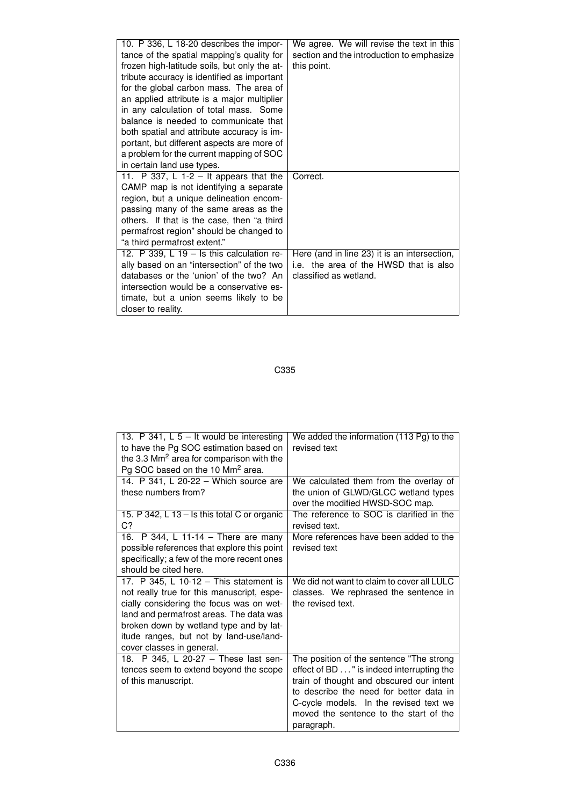| 10. P 336, L 18-20 describes the impor-<br>tance of the spatial mapping's quality for<br>frozen high-latitude soils, but only the at-<br>tribute accuracy is identified as important<br>for the global carbon mass. The area of<br>an applied attribute is a major multiplier<br>in any calculation of total mass. Some<br>balance is needed to communicate that<br>both spatial and attribute accuracy is im-<br>portant, but different aspects are more of<br>a problem for the current mapping of SOC<br>in certain land use types.          | We agree. We will revise the text in this<br>section and the introduction to emphasize<br>this point.                        |
|-------------------------------------------------------------------------------------------------------------------------------------------------------------------------------------------------------------------------------------------------------------------------------------------------------------------------------------------------------------------------------------------------------------------------------------------------------------------------------------------------------------------------------------------------|------------------------------------------------------------------------------------------------------------------------------|
| 11. P 337, L 1-2 – It appears that the<br>CAMP map is not identifying a separate<br>region, but a unique delineation encom-<br>passing many of the same areas as the<br>others. If that is the case, then "a third<br>permafrost region" should be changed to<br>"a third permafrost extent."<br>12. P 339, L 19 - Is this calculation re-<br>ally based on an "intersection" of the two<br>databases or the 'union' of the two? An<br>intersection would be a conservative es-<br>timate, but a union seems likely to be<br>closer to reality. | Correct.<br>Here (and in line 23) it is an intersection,<br>i.e. the area of the HWSD that is also<br>classified as wetland. |

| 13. P 341, L $5 -$ It would be interesting<br>to have the Pg SOC estimation based on<br>the 3.3 Mm <sup>2</sup> area for comparison with the<br>Pg SOC based on the 10 Mm <sup>2</sup> area. | We added the information (113 Pg) to the<br>revised text                            |
|----------------------------------------------------------------------------------------------------------------------------------------------------------------------------------------------|-------------------------------------------------------------------------------------|
| 14. P 341, L 20-22 - Which source are<br>these numbers from?                                                                                                                                 | We calculated them from the overlay of<br>the union of GLWD/GLCC wetland types      |
|                                                                                                                                                                                              | over the modified HWSD-SOC map.                                                     |
| 15. P 342, L 13 - Is this total C or organic<br>C?                                                                                                                                           | The reference to SOC is clarified in the<br>revised text.                           |
| 16. P 344, L 11-14 - There are many                                                                                                                                                          | More references have been added to the                                              |
| possible references that explore this point                                                                                                                                                  | revised text                                                                        |
| specifically; a few of the more recent ones                                                                                                                                                  |                                                                                     |
| should be cited here.                                                                                                                                                                        |                                                                                     |
| 17. P 345, L 10-12 - This statement is<br>not really true for this manuscript, espe-                                                                                                         | We did not want to claim to cover all LULC<br>classes. We rephrased the sentence in |
| cially considering the focus was on wet-                                                                                                                                                     | the revised text.                                                                   |
| land and permafrost areas. The data was                                                                                                                                                      |                                                                                     |
| broken down by wetland type and by lat-                                                                                                                                                      |                                                                                     |
| itude ranges, but not by land-use/land-                                                                                                                                                      |                                                                                     |
| cover classes in general.                                                                                                                                                                    |                                                                                     |
| 18. P 345, L 20-27 - These last sen-                                                                                                                                                         | The position of the sentence "The strong                                            |
| tences seem to extend beyond the scope                                                                                                                                                       | effect of BD " is indeed interrupting the                                           |
| of this manuscript.                                                                                                                                                                          | train of thought and obscured our intent                                            |
|                                                                                                                                                                                              | to describe the need for better data in                                             |
|                                                                                                                                                                                              | C-cycle models. In the revised text we                                              |
|                                                                                                                                                                                              | moved the sentence to the start of the                                              |
|                                                                                                                                                                                              | paragraph.                                                                          |